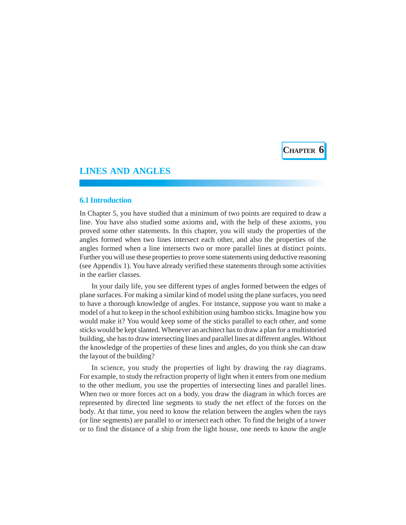

# **LINES AND ANGLES**

### **6.1 Introduction**

In Chapter 5, you have studied that a minimum of two points are required to draw a line. You have also studied some axioms and, with the help of these axioms, you proved some other statements. In this chapter, you will study the properties of the angles formed when two lines intersect each other, and also the properties of the angles formed when a line intersects two or more parallel lines at distinct points. Further you will use these properties to prove some statements using deductive reasoning (see Appendix 1). You have already verified these statements through some activities in the earlier classes.

In your daily life, you see different types of angles formed between the edges of plane surfaces. For making a similar kind of model using the plane surfaces, you need to have a thorough knowledge of angles. For instance, suppose you want to make a model of a hut to keep in the school exhibition using bamboo sticks. Imagine how you would make it? You would keep some of the sticks parallel to each other, and some sticks would be kept slanted. Whenever an architect has to draw a plan for a multistoried building, she has to draw intersecting lines and parallel lines at different angles. Without the knowledge of the properties of these lines and angles, do you think she can draw the layout of the building?

In science, you study the properties of light by drawing the ray diagrams. For example, to study the refraction property of light when it enters from one medium to the other medium, you use the properties of intersecting lines and parallel lines. When two or more forces act on a body, you draw the diagram in which forces are represented by directed line segments to study the net effect of the forces on the body. At that time, you need to know the relation between the angles when the rays (or line segments) are parallel to or intersect each other. To find the height of a tower or to find the distance of a ship from the light house, one needs to know the angle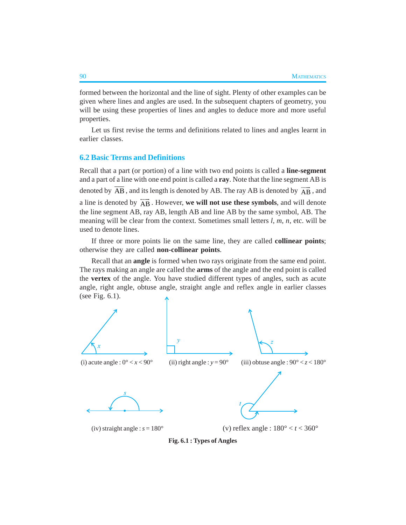formed between the horizontal and the line of sight. Plenty of other examples can be given where lines and angles are used. In the subsequent chapters of geometry, you will be using these properties of lines and angles to deduce more and more useful properties.

Let us first revise the terms and definitions related to lines and angles learnt in earlier classes.

## **6.2 Basic Terms and Definitions**

Recall that a part (or portion) of a line with two end points is called a **line-segment** and a part of a line with one end point is called a **ray**. Note that the line segment AB is denoted by  $\overrightarrow{AB}$  , and its length is denoted by AB. The ray AB is denoted by  $\overrightarrow{AB}$  , and a line is denoted by  $\overrightarrow{AB}$ . However, we will not use these symbols, and will denote the line segment AB, ray AB, length AB and line AB by the same symbol, AB. The meaning will be clear from the context. Sometimes small letters *l*, *m*, *n*, etc. will be used to denote lines.

If three or more points lie on the same line, they are called **collinear points**; otherwise they are called **non-collinear points**.

Recall that an **angle** is formed when two rays originate from the same end point. The rays making an angle are called the **arms** of the angle and the end point is called the **vertex** of the angle. You have studied different types of angles, such as acute angle, right angle, obtuse angle, straight angle and reflex angle in earlier classes (see Fig. 6.1).



**Fig. 6.1 : Types of Angles**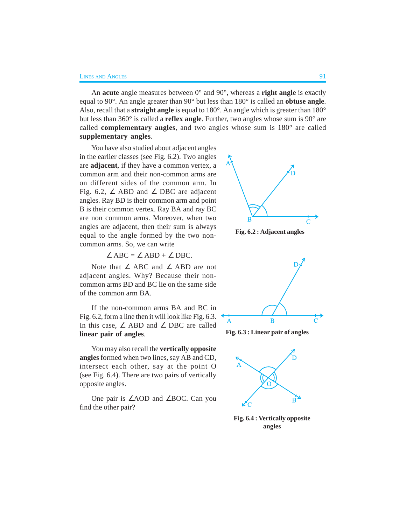An **acute** angle measures between 0° and 90°, whereas a **right angle** is exactly equal to 90°. An angle greater than 90° but less than 180° is called an **obtuse angle**. Also, recall that a **straight angle** is equal to 180°. An angle which is greater than 180° but less than 360° is called a **reflex angle**. Further, two angles whose sum is 90° are called **complementary angles**, and two angles whose sum is 180° are called **supplementary angles**.

You have also studied about adjacent angles in the earlier classes (see Fig. 6.2). Two angles are **adjacent**, if they have a common vertex, a common arm and their non-common arms are on different sides of the common arm. In Fig. 6.2,  $\angle$  ABD and  $\angle$  DBC are adjacent angles. Ray BD is their common arm and point B is their common vertex. Ray BA and ray BC are non common arms. Moreover, when two angles are adjacent, then their sum is always equal to the angle formed by the two noncommon arms. So, we can write

 $\angle$  ABC =  $\angle$  ABD +  $\angle$  DBC.

Note that ∠ ABC and ∠ ABD are not adjacent angles. Why? Because their noncommon arms BD and BC lie on the same side of the common arm BA.

If the non-common arms BA and BC in Fig. 6.2, form a line then it will look like Fig. 6.3. In this case, ∠ ABD and ∠ DBC are called **linear pair of angles**.

You may also recall the **vertically opposite angles** formed when two lines, say AB and CD, intersect each other, say at the point O (see Fig. 6.4). There are two pairs of vertically opposite angles.

One pair is ∠AOD and ∠BOC. Can you find the other pair?



**Fig. 6.2 : Adjacent angles**



**Fig. 6.3 : Linear pair of angles**



**Fig. 6.4 : Vertically opposite angles**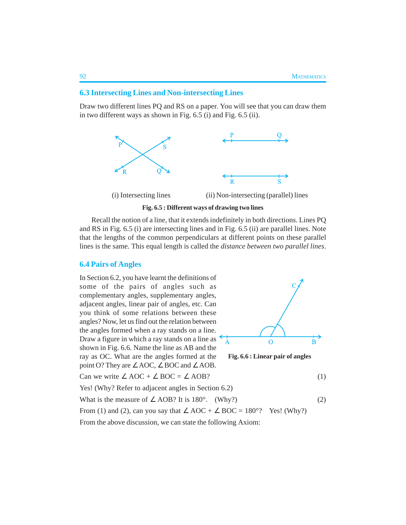### **6.3 Intersecting Lines and Non-intersecting Lines**

Draw two different lines PQ and RS on a paper. You will see that you can draw them in two different ways as shown in Fig. 6.5 (i) and Fig. 6.5 (ii).





**Fig. 6.5 : Different ways of drawing two lines**

Recall the notion of a line, that it extends indefinitely in both directions. Lines PQ and RS in Fig. 6.5 (i) are intersecting lines and in Fig. 6.5 (ii) are parallel lines. Note that the lengths of the common perpendiculars at different points on these parallel lines is the same. This equal length is called the *distance between two parallel lines*.

### **6.4 Pairs of Angles**

In Section 6.2, you have learnt the definitions of some of the pairs of angles such as complementary angles, supplementary angles, adjacent angles, linear pair of angles, etc. Can you think of some relations between these angles? Now, let us find out the relation between the angles formed when a ray stands on a line. Draw a figure in which a ray stands on a line as shown in Fig. 6.6. Name the line as AB and the ray as OC. What are the angles formed at the point O? They are ∠ AOC, ∠ BOC and ∠ AOB. Can we write  $\angle AOC + \angle BOC = \angle AOB$ ?





$$
\left( \frac{1}{2} \right)
$$

Yes! (Why? Refer to adjacent angles in Section 6.2)

What is the measure of  $\angle$  AOB? It is 180°. (Why?) (2)

From (1) and (2), can you say that  $\angle AOC + \angle BOC = 180^{\circ}$ ? Yes! (Why?)

From the above discussion, we can state the following Axiom: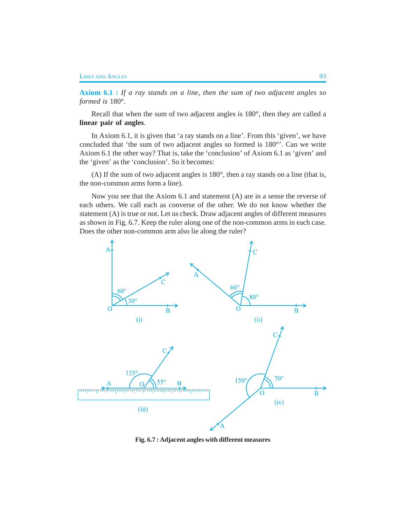**Axiom 6.1 :** *If a ray stands on a line, then the sum of two adjacent angles so formed is* 180°.

Recall that when the sum of two adjacent angles is 180°, then they are called a **linear pair of angles**.

In Axiom 6.1, it is given that 'a ray stands on a line'. From this 'given', we have concluded that 'the sum of two adjacent angles so formed is 180°'. Can we write Axiom 6.1 the other way? That is, take the 'conclusion' of Axiom 6.1 as 'given' and the 'given' as the 'conclusion'. So it becomes:

(A) If the sum of two adjacent angles is 180°, then a ray stands on a line (that is, the non-common arms form a line).

Now you see that the Axiom 6.1 and statement (A) are in a sense the reverse of each others. We call each as converse of the other. We do not know whether the statement (A) is true or not. Let us check. Draw adjacent angles of different measures as shown in Fig. 6.7. Keep the ruler along one of the non-common arms in each case. Does the other non-common arm also lie along the ruler?



**Fig. 6.7 : Adjacent angles with different measures**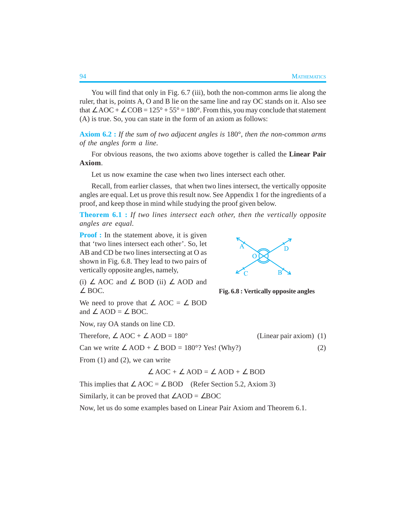You will find that only in Fig. 6.7 (iii), both the non-common arms lie along the ruler, that is, points A, O and B lie on the same line and ray OC stands on it. Also see that  $\angle AOC + \angle COB = 125^{\circ} + 55^{\circ} = 180^{\circ}$ . From this, you may conclude that statement (A) is true. So, you can state in the form of an axiom as follows:

**Axiom 6.2 :** *If the sum of two adjacent angles is* 180°, *then the non-common arms of the angles form a line*.

For obvious reasons, the two axioms above together is called the **Linear Pair Axiom**.

Let us now examine the case when two lines intersect each other.

Recall, from earlier classes, that when two lines intersect, the vertically opposite angles are equal. Let us prove this result now. See Appendix 1 for the ingredients of a proof, and keep those in mind while studying the proof given below.

**Theorem 6.1 :** *If two lines intersect each other, then the vertically opposite angles are equal*.

**Proof :** In the statement above, it is given that 'two lines intersect each other'. So, let AB and CD be two lines intersecting at O as shown in Fig. 6.8. They lead to two pairs of vertically opposite angles, namely,



**Fig. 6.8 : Vertically opposite angles**

We need to prove that  $\angle$  AOC =  $\angle$  BOD and  $∠$  AOD =  $∠$  BOC.

(i) ∠ AOC and ∠ BOD (ii) ∠ AOD and

Now, ray OA stands on line CD.

∠ BOC.

Therefore,  $\angle AOC + \angle AOD = 180^{\circ}$  (Linear pair axiom) (1)

Can we write  $\angle AOD + \angle BOD = 180^{\circ}$ ? Yes! (Why?) (2)

From (1) and (2), we can write

$$
\angle AOC + \angle AOD = \angle AOD + \angle BOD
$$

This implies that  $\angle AOC = \angle BOD$  (Refer Section 5.2, Axiom 3)

Similarly, it can be proved that  $∠AOD = ∠BOC$ 

Now, let us do some examples based on Linear Pair Axiom and Theorem 6.1.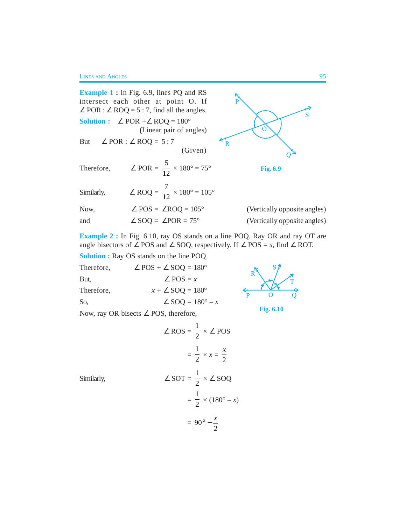**Example 1 :** In Fig. 6.9, lines PQ and RS ۲ intersect each other at point O. If  $\overrightarrow{P}$  $\angle$  POR :  $\angle$  ROQ = 5 : 7, find all the angles. S **Solution :** ∠ POR  $+∠$  ROQ = 180° ∩ (Linear pair of angles) But ∠ POR : ∠ ROQ =  $5:7$  $\overline{R}$ (Given)  $\Omega$ 5 Therefore,  $\angle POR =$  $\frac{1}{12} \times 180^{\circ} = 75^{\circ}$ **Fig. 6.9** 7 Similarly,  $\angle$  ROQ =  $\frac{1}{12} \times 180^{\circ} = 105^{\circ}$ Now,  $\angle POS = \angle ROQ = 105^{\circ}$  (Vertically opposite angles) and  $\angle SOQ = \angle POR = 75^{\circ}$  (Vertically opposite angles)

**Example 2 :** In Fig. 6.10, ray OS stands on a line POQ. Ray OR and ray OT are angle bisectors of ∠ POS and ∠ SOQ, respectively. If ∠ POS =  $x$ , find ∠ ROT.

**Solution :** Ray OS stands on the line POQ.

| Therefore, | $\angle$ POS + $\angle$ SOQ = 180° |  |
|------------|------------------------------------|--|
| But.       | $\angle$ POS = x                   |  |
| Therefore. | $x + \angle SOQ = 180^\circ$       |  |
| So.        | $\angle$ SOQ = 180° – x            |  |

Now, ray OR bisects ∠ POS, therefore,

$$
\angle \text{ROS} = \frac{1}{2} \times \angle \text{POS}
$$

$$
= \frac{1}{2} \times x = \frac{x}{2}
$$

$$
\angle \text{SOT} = \frac{1}{2} \times \angle \text{SOQ}
$$

$$
= \frac{1}{2} \times (180^\circ - x)
$$

$$
= 90^\circ - \frac{x}{2}
$$

Similarly,

**Fig. 6.10**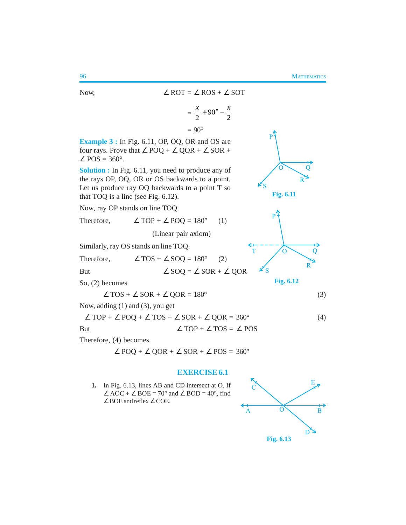**Fig. 6.13**

 $\overline{0}$ 

 $\overline{A}$ 

 $\overrightarrow{B}$ 

 $D_{\overline{A}}$ 

Now,  
\n
$$
\angle ROT = \angle ROS + \angle SOT
$$
\n
$$
= \frac{x}{2} + 90^{\circ} - \frac{x}{2}
$$
\n
$$
= 90^{\circ}
$$
\nExample 3 : In Fig. 6.11, OP, OQ, OR and OS are  
\nfour rays. Prove that  $\angle POQ + \angle QOR + \angle SOR + \angle POS = 360^{\circ}$ .  
\nSolution : In Fig. 6.11, you need to produce any of  
\nthe rays OP, OQ, OR or OS backwards to a point.  
\nLet us produce ray OQ backwards to a point T so  
\nLet us produce ray OQ backwards to a point T so  
\nthat TOQ is a line (see Fig. 6.12).  
\nNow, ray OP stands on line TOQ.  
\nTherefore,  $\angle TOP + \angle POQ = 180^{\circ}$  (1)  
\n(Linear pair axiom)  
\nSimilarly, ray OS stands on line TOQ.  
\nTherefore,  $\angle TOS + \angle SOQ = 180^{\circ}$  (2)  
\nBut  $\angle SOQ = \angle SOR + \angle QOR$   
\nSo, (2) becomes  
\n $\angle TOS + \angle SOR + \angle QOR = 180^{\circ}$  (3)  
\nNow, adding (1) and (3), you get  
\n $\angle TOP + \angle TOS + \angle SOR + \angle QOR = 360^{\circ}$  (4)  
\nBut  $\angle TOP + \angle TOS = \angle POS$   
\nTherefore, (4) becomes  
\n $\angle POQ + \angle QOR + \angle SOR + \angle POS = 360^{\circ}$  (4)  
\n $\angle TOP + \angle TOS = 360^{\circ}$   
\nEXECRERCISE 6.1  
\n1. In Fig. 6.13, lines AB and CD intersect at O. If  
\n $\angle AOC + \angle BOE = 70^{\circ}$  and  $\angle BOD = 40^{\circ}$ , find

 $∠$  BOE and reflex  $∠$  COE.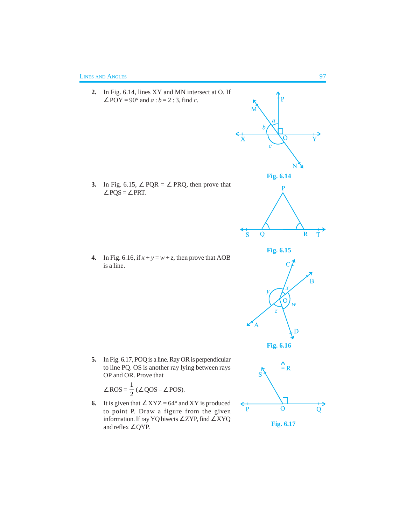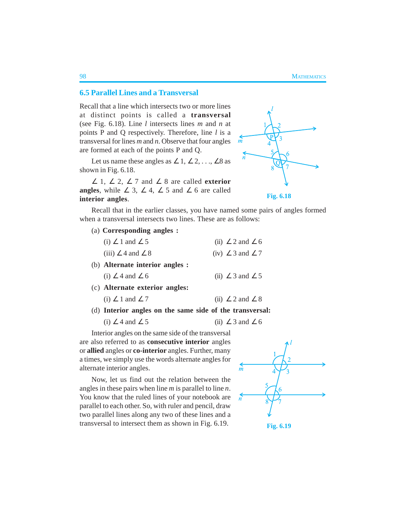#### **6.5 Parallel Lines and a Transversal**

Recall that a line which intersects two or more lines at distinct points is called a **transversal** (see Fig. 6.18). Line *l* intersects lines *m* and *n* at points P and Q respectively. Therefore, line *l* is a transversal for lines *m* and *n*. Observe that four angles are formed at each of the points P and Q.

Let us name these angles as  $\angle 1, \angle 2, \ldots, \angle 8$  as shown in Fig. 6.18.

∠ 1, ∠ 2, ∠ 7 and ∠ 8 are called **exterior angles**, while ∠ 3, ∠ 4, ∠ 5 and ∠ 6 are called **interior angles**.

Recall that in the earlier classes, you have named some pairs of angles formed when a transversal intersects two lines. These are as follows:

(a) **Corresponding angles :**

| $(i) \angle 1$ and $\angle 5$   | (ii) $\angle$ 2 and $\angle$ 6 |
|---------------------------------|--------------------------------|
| $(iii) \angle 4$ and $\angle 8$ | $(iv) \angle 3$ and $\angle 7$ |

- (b) **Alternate interior angles :**
	- (i) ∠ 4 and ∠ 6 (ii) ∠ 3 and ∠ 5
- (c) **Alternate exterior angles:**

(i) ∠ 1 and ∠ 7 (ii) ∠ 2 and ∠ 8

(d) **Interior angles on the same side of the transversal:**

(i) 
$$
\angle
$$
 4 and  $\angle$  5 (ii)  $\angle$  3 and  $\angle$  6

Interior angles on the same side of the transversal are also referred to as **consecutive interior** angles or **allied** angles or **co-interior** angles. Further, many a times, we simply use the words alternate angles for alternate interior angles.

Now, let us find out the relation between the angles in these pairs when line *m* is parallel to line *n*. You know that the ruled lines of your notebook are parallel to each other. So, with ruler and pencil, draw two parallel lines along any two of these lines and a transversal to intersect them as shown in Fig. 6.19.





 $\vec{m}$ 

#### **Fig. 6.18**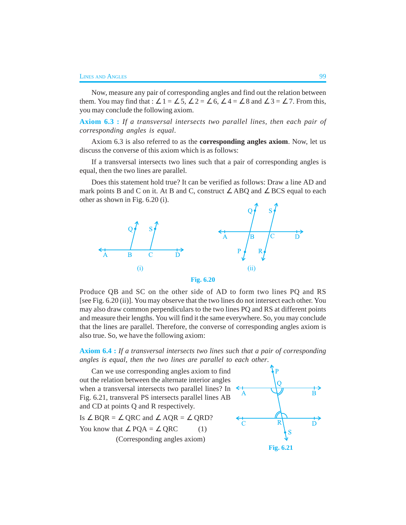Now, measure any pair of corresponding angles and find out the relation between them. You may find that :  $\angle 1 = \angle 5$ ,  $\angle 2 = \angle 6$ ,  $\angle 4 = \angle 8$  and  $\angle 3 = \angle 7$ . From this, you may conclude the following axiom.

**Axiom 6.3 :** *If a transversal intersects two parallel lines, then each pair of corresponding angles is equal*.

Axiom 6.3 is also referred to as the **corresponding angles axiom**. Now, let us discuss the converse of this axiom which is as follows:

If a transversal intersects two lines such that a pair of corresponding angles is equal, then the two lines are parallel.

Does this statement hold true? It can be verified as follows: Draw a line AD and mark points B and C on it. At B and C, construct  $\angle$  ABQ and  $\angle$  BCS equal to each other as shown in Fig. 6.20 (i).



**Fig. 6.20**

Produce QB and SC on the other side of AD to form two lines PQ and RS [see Fig. 6.20 (ii)]. You may observe that the two lines do not intersect each other. You may also draw common perpendiculars to the two lines PQ and RS at different points and measure their lengths. You will find it the same everywhere. So, you may conclude that the lines are parallel. Therefore, the converse of corresponding angles axiom is also true. So, we have the following axiom:

**Axiom 6.4 :** *If a transversal intersects two lines such that a pair of corresponding angles is equal, then the two lines are parallel to each other*.

Can we use corresponding angles axiom to find out the relation between the alternate interior angles when a transversal intersects two parallel lines? In Fig. 6.21, transveral PS intersects parallel lines AB and CD at points Q and R respectively. Is  $\angle$  BQR =  $\angle$  QRC and  $\angle$  AQR =  $\angle$  QRD?

You know that  $\angle PQA = \angle QRC$  (1)

(Corresponding angles axiom)

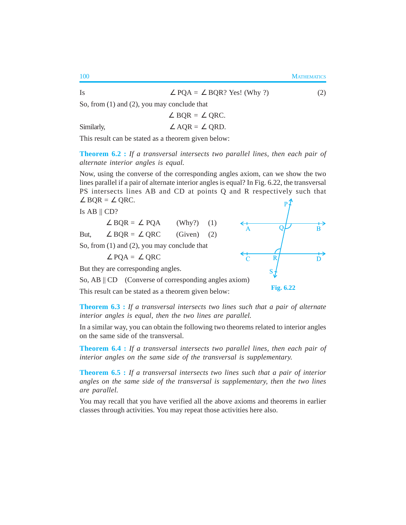Οl

 $\overline{R}$ 

 $\overline{\mathbf{B}}$ 

 $\overline{D}$ 

$$
\angle PQA = \angle BQR? Yes! (Why?) \tag{2}
$$

So, from (1) and (2), you may conclude that

$$
\angle BQR = \angle QRC.
$$
  
Similarly, 
$$
\angle AQR = \angle QRD.
$$

This result can be stated as a theorem given below:

**Theorem 6.2 :** *If a transversal intersects two parallel lines, then each pair of alternate interior angles is equal.*

Now, using the converse of the corresponding angles axiom, can we show the two lines parallel if a pair of alternate interior angles is equal? In Fig. 6.22, the transversal PS intersects lines AB and CD at points Q and R respectively such that  $\angle$  BQR =  $\angle$  QRC.

Is  $AB \parallel CD$ ?

$$
\angle BQR = \angle PQA \qquad (Why?) \qquad (1)
$$
  
But, 
$$
\angle BQR = \angle QRC \qquad (Given) \qquad (2)
$$

So, from (1) and (2), you may conclude that

$$
\angle
$$
 PQA =  $\angle$  QRC

But they are corresponding angles.

So,  $AB \parallel CD$  (Converse of corresponding angles axiom)

This result can be stated as a theorem given below:



 $\Delta$ 

 $\overline{C}$ 

**Theorem 6.3 :** *If a transversal intersects two lines such that a pair of alternate interior angles is equal, then the two lines are parallel.*

In a similar way, you can obtain the following two theorems related to interior angles on the same side of the transversal.

**Theorem 6.4 :** *If a transversal intersects two parallel lines, then each pair of interior angles on the same side of the transversal is supplementary.*

**Theorem 6.5 :** *If a transversal intersects two lines such that a pair of interior angles on the same side of the transversal is supplementary, then the two lines are parallel.*

You may recall that you have verified all the above axioms and theorems in earlier classes through activities. You may repeat those activities here also.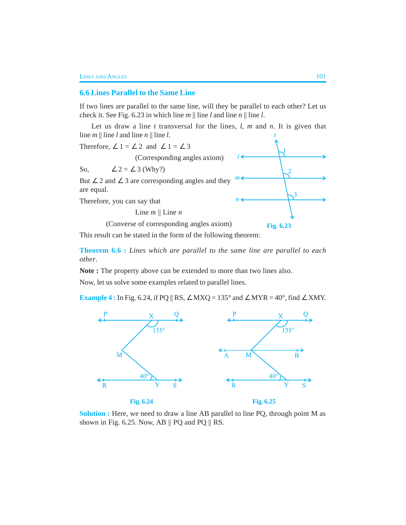### **6.6 Lines Parallel to the Same Line**

If two lines are parallel to the same line, will they be parallel to each other? Let us check it. See Fig. 6.23 in which line  $m \parallel \text{line } l$  and line  $n \parallel \text{line } l$ .

Let us draw a line *t* transversal for the lines, *l*, *m* and *n*. It is given that line *m* || line *l* and line *n* || line *l*.



**Theorem 6.6 :** *Lines which are parallel to the same line are parallel to each other*.

**Note :** The property above can be extended to more than two lines also.

Now, let us solve some examples related to parallel lines.

**Example 4 :** In Fig. 6.24, if PQ  $\parallel$  RS,  $\angle$  MXQ = 135° and  $\angle$  MYR = 40°, find  $\angle$  XMY.



**Solution :** Here, we need to draw a line AB parallel to line PQ, through point M as shown in Fig. 6.25. Now, AB  $\parallel$  PQ and PQ  $\parallel$  RS.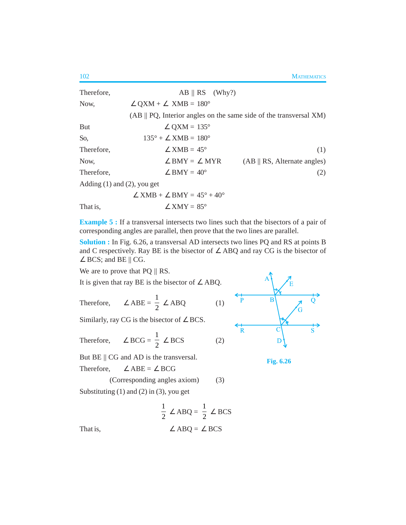| Therefore,                                                                    | $AB \parallel RS$ (Why?)                 |                                       |  |  |
|-------------------------------------------------------------------------------|------------------------------------------|---------------------------------------|--|--|
| Now,                                                                          | $\angle$ QXM + $\angle$ XMB = 180°       |                                       |  |  |
| $(AB \parallel PQ)$ , Interior angles on the same side of the transversal XM) |                                          |                                       |  |  |
| But                                                                           | $\angle$ QXM = 135°                      |                                       |  |  |
| So,                                                                           | $135^\circ$ + $\angle$ XMB = $180^\circ$ |                                       |  |  |
| Therefore,                                                                    | $\angle$ XMB = 45°                       | (1)                                   |  |  |
| Now,                                                                          | $\angle$ BMY = $\angle$ MYR              | $(AB \parallel RS,$ Alternate angles) |  |  |
| Therefore,                                                                    | $\angle$ BMY = 40°                       | (2)                                   |  |  |
| Adding $(1)$ and $(2)$ , you get                                              |                                          |                                       |  |  |
|                                                                               | $\angle$ XMB + $\angle$ BMY = 45° + 40°  |                                       |  |  |
| That is,                                                                      | $\angle$ XMY = 85 <sup>°</sup>           |                                       |  |  |

**Example 5 :** If a transversal intersects two lines such that the bisectors of a pair of corresponding angles are parallel, then prove that the two lines are parallel.

**Solution :** In Fig. 6.26, a transversal AD intersects two lines PQ and RS at points B and C respectively. Ray BE is the bisector of ∠ ABQ and ray CG is the bisector of  $\angle$  BCS; and BE || CG.

We are to prove that  $PQ \parallel RS$ .

It is given that ray BE is the bisector of  $\angle$  ABQ.

Therefore, 
$$
\angle
$$
 ABE =  $\frac{1}{2}$   $\angle$  ABQ (1)

Similarly, ray CG is the bisector of  $\angle$  BCS.

Therefore,  $\angle BCG =$ 1  $\frac{1}{2}$   $\angle$  BCS (2)

But BE || CG and AD is the transversal.

Therefore,  $\angle$  ABE =  $\angle$  BCG

(Corresponding angles axiom) (3)

Substituting (1) and (2) in (3), you get

$$
\frac{1}{2} \angle ABQ = \frac{1}{2} \angle BCS
$$
  
That is, 
$$
\angle ABQ = \angle BCS
$$



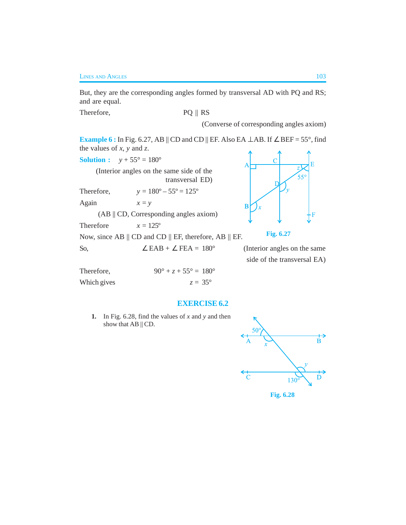But, they are the corresponding angles formed by transversal AD with PQ and RS; and are equal.

Therefore, PQ || RS

(Converse of corresponding angles axiom)

**Example 6 :** In Fig. 6.27, AB || CD and CD || EF. Also EA ⊥ AB. If ∠ BEF = 55°, find the values of *x*, *y* and *z*.



side of the transversal EA)

**Fig. 6.27**

Which gives  $z = 35^\circ$ 

### **EXERCISE 6.2**

**1.** In Fig. 6.28, find the values of *x* and *y* and then show that AB  $||CD$ .



-F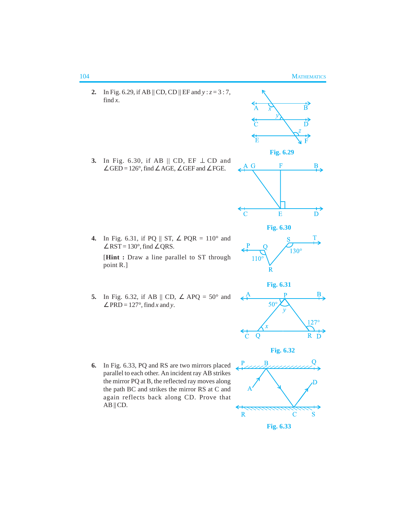- **2.** In Fig. 6.29, if AB  $||CD, CD || EF$  and  $y : z = 3 : 7$ , find *x*.
- **3.** In Fig. 6.30, if AB || CD, EF ⊥ CD and ∠ GED = 126°, find ∠ AGE, ∠ GEF and ∠ FGE.



[**Hint :** Draw a line parallel to ST through point R.]

**5.** In Fig. 6.32, if AB  $||$  CD,  $\angle$  APQ = 50° and  $\angle$  PRD = 127°, find *x* and *y*.

**6.** In Fig. 6.33, PQ and RS are two mirrors placed parallel to each other. An incident ray AB strikes the mirror PQ at B, the reflected ray moves along the path BC and strikes the mirror RS at C and again reflects back along CD. Prove that  $AB \parallel CD$ .

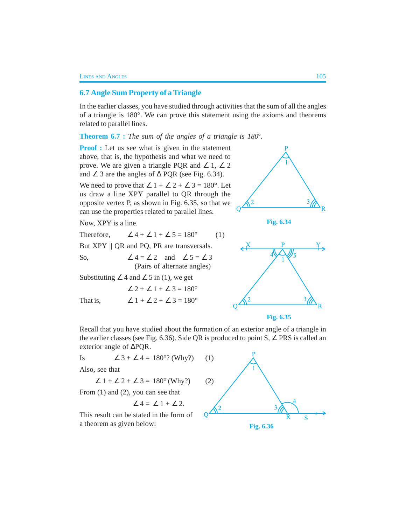### **6.7 Angle Sum Property of a Triangle**

In the earlier classes, you have studied through activities that the sum of all the angles of a triangle is 180°. We can prove this statement using the axioms and theorems related to parallel lines.

**Theorem 6.7 :** *The sum of the angles of a triangle is 180*º*.*

**Proof :** Let us see what is given in the statement above, that is, the hypothesis and what we need to prove. We are given a triangle PQR and  $\angle$  1,  $\angle$  2 and ∠ 3 are the angles of  $\triangle$  PQR (see Fig. 6.34).

We need to prove that  $\angle 1 + \angle 2 + \angle 3 = 180^\circ$ . Let us draw a line XPY parallel to QR through the opposite vertex P, as shown in Fig. 6.35, so that we can use the properties related to parallel lines.

Now, XPY is a line.

Therefore,  $\angle 4 + \angle 1 + \angle 5 = 180^{\circ}$  (1)

But XPY || QR and PQ, PR are transversals.

So,  $\angle 4 = \angle 2$  and  $\angle 5 = \angle 3$ (Pairs of alternate angles)

Substituting ∠ 4 and ∠ 5 in (1), we get

 $\angle$  2 +  $\angle$  1 +  $\angle$  3 = 180 $^{\circ}$ 

That is,  $\angle 1 + \angle 2 + \angle 3 = 180^\circ$ 





Recall that you have studied about the formation of an exterior angle of a triangle in the earlier classes (see Fig. 6.36). Side QR is produced to point  $S, \angle PRS$  is called an exterior angle of ∆PQR.

Is 
$$
\angle 3 + \angle 4 = 180^{\circ}
$$
? (Why?) (1)

Also, see that

$$
\angle 1 + \angle 2 + \angle 3 = 180^{\circ}
$$
 (Why?) (2)

From (1) and (2), you can see that

$$
\angle 4 = \angle 1 + \angle 2.
$$

This result can be stated in the form of a theorem as given below:

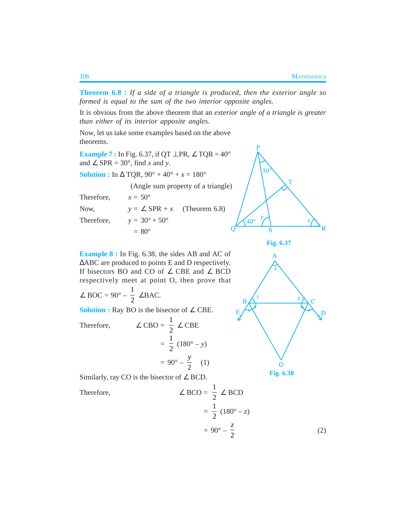**Theorem 6.8 :** *If a side of a triangle is produced, then the exterior angle so formed is equal to the sum of the two interior opposite angles.*

It is obvious from the above theorem that an *exterior angle of a triangle is greater than either of its interior apposite angles.*

Now, let us take some examples based on the above theorems.

**Example 7 :** In Fig. 6.37, if QT  $\perp$  PR,  $\angle$  TQR = 40° and  $\angle$  SPR = 30°, find *x* and *y*.

**Solution :** In  $\triangle$  TQR,  $90^{\circ}$  +  $40^{\circ}$  +  $x = 180^{\circ}$ 

(Angle sum property of a triangle)

| Therefore, | $x = 50^{\circ}$                   |  |
|------------|------------------------------------|--|
| Now,       | $y = \angle$ SPR + x (Theorem 6.8) |  |
| Therefore, | $y = 30^{\circ} + 50^{\circ}$      |  |
|            | $= 80^\circ$                       |  |





A

**Example 8 :** In Fig. 6.38, the sides AB and AC of ∆ABC are produced to points E and D respectively. If bisectors BO and CO of ∠ CBE and ∠ BCD respectively meet at point O, then prove that

 $\angle$  BOC = 90 $^{\circ}$  – 1  $\frac{1}{2}$  ∠BAC. **Solution :** Ray BO is the bisector of ∠ CBE.

Therefore,  $\angle$  CB

$$
3\text{O} = \frac{1}{2} \angle \text{CBE}
$$

$$
= \frac{1}{2} (180^\circ - y)
$$

$$
= 90^\circ - \frac{y}{2} (1)
$$

Similarly, ray CO is the bisector of ∠ BCD.

Therefore,  $\angle$  BC

$$
CO = \frac{1}{2} \angle BCD
$$
  
=  $\frac{1}{2} (180^{\circ} - z)$   
=  $90^{\circ} - \frac{z}{2}$  (2)

B

**Fig. 6.38**

 $\Omega$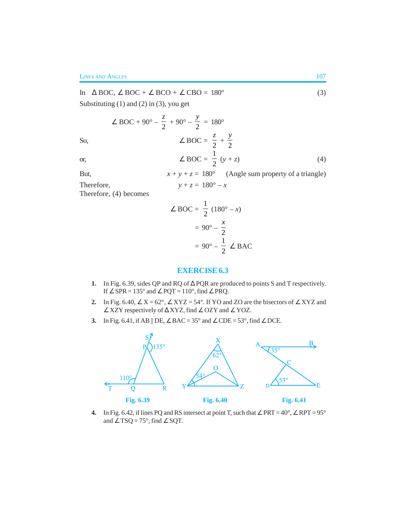In  $\triangle$  BOC,  $\angle$  BOC +  $\angle$  BCO +  $\angle$  CBO = 180° (3)

Substituting (1) and (2) in (3), you get

$$
\angle BOC + 90^\circ - \frac{z}{2} + 90^\circ - \frac{y}{2} = 180^\circ
$$
  
So,  

$$
\angle BOC = \frac{z}{2} + \frac{y}{2}
$$
  
or,  

$$
\angle BOC = \frac{1}{2} (y + z)
$$
 (4)

But,  $x + y + z = 180^\circ$  (Angle sum property of a triangle) Therefore,  $y + z = 180^{\circ} - x$ 

Therefore, (4) becomes

$$
\angle \text{BOC} = \frac{1}{2} (180^\circ - x)
$$

$$
= 90^\circ - \frac{x}{2}
$$

$$
= 90^\circ - \frac{1}{2} \angle \text{BAC}
$$

## **EXERCISE 6.3**

- **1.** In Fig. 6.39, sides QP and RQ of ∆ PQR are produced to points S and T respectively. If  $\angle$  SPR = 135° and  $\angle$  PQT = 110°, find  $\angle$  PRQ.
- 2. In Fig. 6.40, ∠ X =  $62^{\circ}$ , ∠ XYZ =  $54^{\circ}$ . If YO and ZO are the bisectors of ∠ XYZ and ∠ XZY respectively of ∆ XYZ, find ∠ OZY and ∠ YOZ.
- **3.** In Fig. 6.41, if AB  $||$  DE,  $\angle$  BAC = 35° and  $\angle$  CDE = 53°, find  $\angle$  DCE.



**4.** In Fig. 6.42, if lines PQ and RS intersect at point T, such that ∠ PRT = 40°, ∠ RPT = 95° and  $∠TSQ = 75^\circ$ , find  $∠SQT$ .